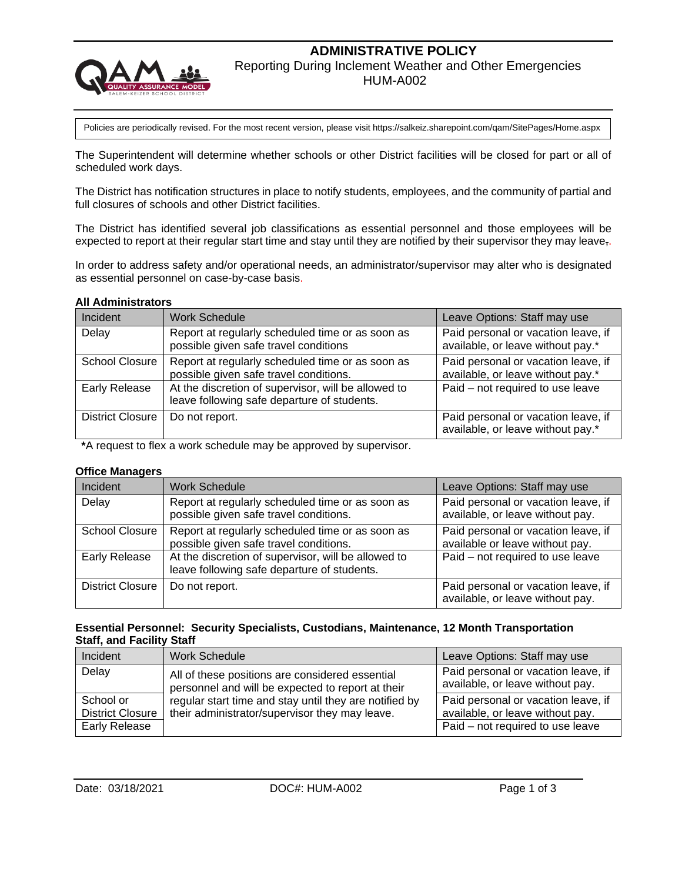# **ADMINISTRATIVE POLICY**



Reporting During Inclement Weather and Other Emergencies

HUM-A002

Policies are periodically revised. For the most recent version, please visit https://salkeiz.sharepoint.com/qam/SitePages/Home.aspx

The Superintendent will determine whether schools or other District facilities will be closed for part or all of scheduled work days.

The District has notification structures in place to notify students, employees, and the community of partial and full closures of schools and other District facilities.

The District has identified several job classifications as essential personnel and those employees will be expected to report at their regular start time and stay until they are notified by their supervisor they may leave,

In order to address safety and/or operational needs, an administrator/supervisor may alter who is designated as essential personnel on case-by-case basis.

#### **All Administrators**

| Incident                | <b>Work Schedule</b>                                                                               | Leave Options: Staff may use                                             |  |  |
|-------------------------|----------------------------------------------------------------------------------------------------|--------------------------------------------------------------------------|--|--|
| Delay                   | Report at regularly scheduled time or as soon as<br>possible given safe travel conditions          | Paid personal or vacation leave, if<br>available, or leave without pay.* |  |  |
| <b>School Closure</b>   | Report at regularly scheduled time or as soon as<br>possible given safe travel conditions.         | Paid personal or vacation leave, if<br>available, or leave without pay.* |  |  |
| Early Release           | At the discretion of supervisor, will be allowed to<br>leave following safe departure of students. | Paid - not required to use leave                                         |  |  |
| <b>District Closure</b> | Do not report.                                                                                     | Paid personal or vacation leave, if<br>available, or leave without pay.* |  |  |

**\***A request to flex a work schedule may be approved by supervisor.

#### **Office Managers**

| Incident                | <b>Work Schedule</b>                                                                               | Leave Options: Staff may use                                            |
|-------------------------|----------------------------------------------------------------------------------------------------|-------------------------------------------------------------------------|
| Delay                   | Report at regularly scheduled time or as soon as<br>possible given safe travel conditions.         | Paid personal or vacation leave, if<br>available, or leave without pay. |
| <b>School Closure</b>   | Report at regularly scheduled time or as soon as<br>possible given safe travel conditions.         | Paid personal or vacation leave, if<br>available or leave without pay.  |
| <b>Early Release</b>    | At the discretion of supervisor, will be allowed to<br>leave following safe departure of students. | Paid - not required to use leave                                        |
| <b>District Closure</b> | Do not report.                                                                                     | Paid personal or vacation leave, if<br>available, or leave without pay. |

#### **Essential Personnel: Security Specialists, Custodians, Maintenance, 12 Month Transportation Staff, and Facility Staff**

| Incident                | <b>Work Schedule</b>                                                                                 | Leave Options: Staff may use                                            |
|-------------------------|------------------------------------------------------------------------------------------------------|-------------------------------------------------------------------------|
| Delay                   | All of these positions are considered essential<br>personnel and will be expected to report at their | Paid personal or vacation leave, if<br>available, or leave without pay. |
| School or               | regular start time and stay until they are notified by                                               | Paid personal or vacation leave, if                                     |
| <b>District Closure</b> | their administrator/supervisor they may leave.                                                       | available, or leave without pay.                                        |
| <b>Early Release</b>    |                                                                                                      | Paid - not required to use leave                                        |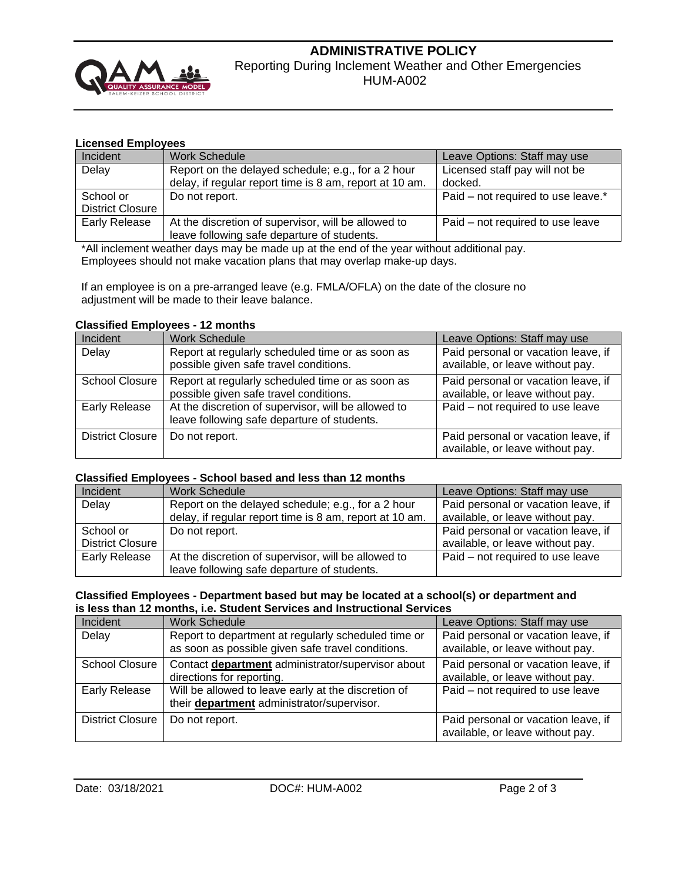

# **ADMINISTRATIVE POLICY** Reporting During Inclement Weather and Other Emergencies HUM-A002

## **Licensed Employees**

| Incident                | <b>Work Schedule</b>                                    | Leave Options: Staff may use       |  |  |
|-------------------------|---------------------------------------------------------|------------------------------------|--|--|
| Delay                   | Report on the delayed schedule; e.g., for a 2 hour      | Licensed staff pay will not be     |  |  |
|                         | delay, if regular report time is 8 am, report at 10 am. | docked.                            |  |  |
| School or               | Do not report.                                          | Paid – not required to use leave.* |  |  |
| <b>District Closure</b> |                                                         |                                    |  |  |
| <b>Early Release</b>    | At the discretion of supervisor, will be allowed to     | Paid – not required to use leave   |  |  |
|                         | leave following safe departure of students.             |                                    |  |  |

\*All inclement weather days may be made up at the end of the year without additional pay. Employees should not make vacation plans that may overlap make-up days.

If an employee is on a pre-arranged leave (e.g. FMLA/OFLA) on the date of the closure no adjustment will be made to their leave balance.

## **Classified Employees - 12 months**

| Incident                | <b>Work Schedule</b>                                                                               | Leave Options: Staff may use                                            |
|-------------------------|----------------------------------------------------------------------------------------------------|-------------------------------------------------------------------------|
| Delay                   | Report at regularly scheduled time or as soon as<br>possible given safe travel conditions.         | Paid personal or vacation leave, if<br>available, or leave without pay. |
| <b>School Closure</b>   | Report at regularly scheduled time or as soon as<br>possible given safe travel conditions.         | Paid personal or vacation leave, if<br>available, or leave without pay. |
| <b>Early Release</b>    | At the discretion of supervisor, will be allowed to<br>leave following safe departure of students. | Paid - not required to use leave                                        |
| <b>District Closure</b> | Do not report.                                                                                     | Paid personal or vacation leave, if<br>available, or leave without pay. |

#### **Classified Employees - School based and less than 12 months**

| Incident                | <b>Work Schedule</b><br>Leave Options: Staff may use    |                                     |  |  |
|-------------------------|---------------------------------------------------------|-------------------------------------|--|--|
| Delay                   | Report on the delayed schedule; e.g., for a 2 hour      | Paid personal or vacation leave, if |  |  |
|                         | delay, if regular report time is 8 am, report at 10 am. | available, or leave without pay.    |  |  |
| School or               | Do not report.                                          | Paid personal or vacation leave, if |  |  |
| <b>District Closure</b> |                                                         | available, or leave without pay.    |  |  |
| <b>Early Release</b>    | At the discretion of supervisor, will be allowed to     | Paid - not required to use leave    |  |  |
|                         | leave following safe departure of students.             |                                     |  |  |

#### **Classified Employees - Department based but may be located at a school(s) or department and is less than 12 months, i.e. Student Services and Instructional Services**

| Incident                | <b>Work Schedule</b>                                                                                     | Leave Options: Staff may use                                            |  |  |
|-------------------------|----------------------------------------------------------------------------------------------------------|-------------------------------------------------------------------------|--|--|
| Delay                   | Report to department at regularly scheduled time or<br>as soon as possible given safe travel conditions. | Paid personal or vacation leave, if<br>available, or leave without pay. |  |  |
| <b>School Closure</b>   | Contact department administrator/supervisor about<br>directions for reporting.                           | Paid personal or vacation leave, if<br>available, or leave without pay. |  |  |
| <b>Early Release</b>    | Will be allowed to leave early at the discretion of<br>their <b>department</b> administrator/supervisor. | Paid – not required to use leave                                        |  |  |
| <b>District Closure</b> | Do not report.                                                                                           | Paid personal or vacation leave, if<br>available, or leave without pay. |  |  |